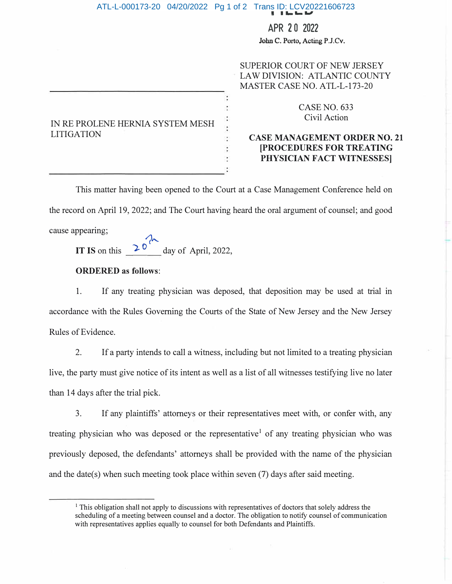## **FILED**  ATL-L-000173-20 04/20/2022 Pg 1 of 2 Trans ID: LCV20221606723

## APR 2 0 2022

**John C. Porto, Acting P.J.Cv.** 

|                                                       | SUPERIOR COURT OF NEW JERSEY<br>LAW DIVISION: ATLANTIC COUNTY<br>MASTER CASE NO. ATL-L-173-20                         |
|-------------------------------------------------------|-----------------------------------------------------------------------------------------------------------------------|
| IN RE PROLENE HERNIA SYSTEM MESH<br><b>LITIGATION</b> | <b>CASE NO. 633</b><br>Civil Action                                                                                   |
|                                                       | <b>CASE MANAGEMENT ORDER NO. 21</b><br><b>[PROCEDURES FOR TREATING</b><br>PHYSICIAN FACT WITNESSES]<br>$\bullet$<br>٠ |

This matter having been opened to the Court at a Case Management Conference held on the record on April 19, 2022; and The Court having heard the oral argument of counsel; and good cause appearing;

20 **IT IS** on this  $2^{\circ}$  day of April, 2022,

## **ORDERED as follows:**

1. If any treating physician was deposed, that deposition may be used at trial in accordance with the Rules Governing the Courts of the State of New Jersey and the New Jersey Rules of Evidence.

2. If a party intends to call a witness, including but not limited to a treating physician live, the party must give notice of its intent as well as a list of all witnesses testifying live no later than 14 days after the trial pick.

3. If any plaintiffs' attorneys or their representatives meet with, or confer with, any treating physician who was deposed or the representative<sup>1</sup> of any treating physician who was previously deposed, the defendants' attorneys shall be provided with the name of the physician and the date(s) when such meeting took place within seven (7) days after said meeting.

<sup>&</sup>lt;sup>1</sup> This obligation shall not apply to discussions with representatives of doctors that solely address the scheduling of a meeting between counsel and a doctor. The obligation to notify counsel of communication with representatives applies equally to counsel for both Defendants and Plaintiffs.